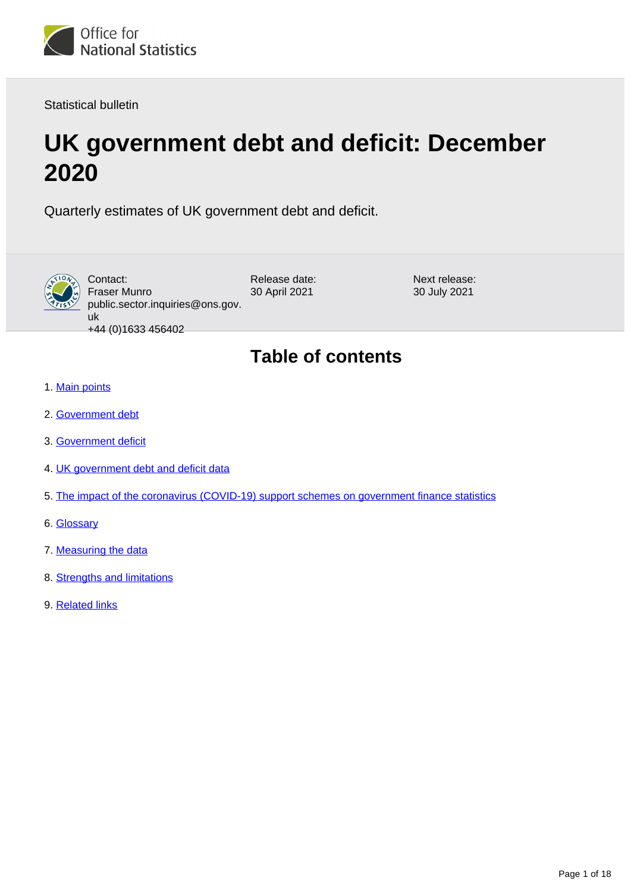

Statistical bulletin

# **UK government debt and deficit: December 2020**

Quarterly estimates of UK government debt and deficit.



Contact: Fraser Munro public.sector.inquiries@ons.gov. uk +44 (0)1633 456402

Release date: 30 April 2021

Next release: 30 July 2021

# **Table of contents**

- 1. [Main points](#page-1-0)
- 2. [Government debt](#page-1-1)
- 3. [Government deficit](#page-7-0)
- 4. [UK government debt and deficit data](#page-13-0)
- 5. [The impact of the coronavirus \(COVID-19\) support schemes on government finance statistics](#page-13-1)
- 6. [Glossary](#page-14-0)
- 7. [Measuring the data](#page-15-0)
- 8. [Strengths and limitations](#page-16-0)
- 9. [Related links](#page-17-0)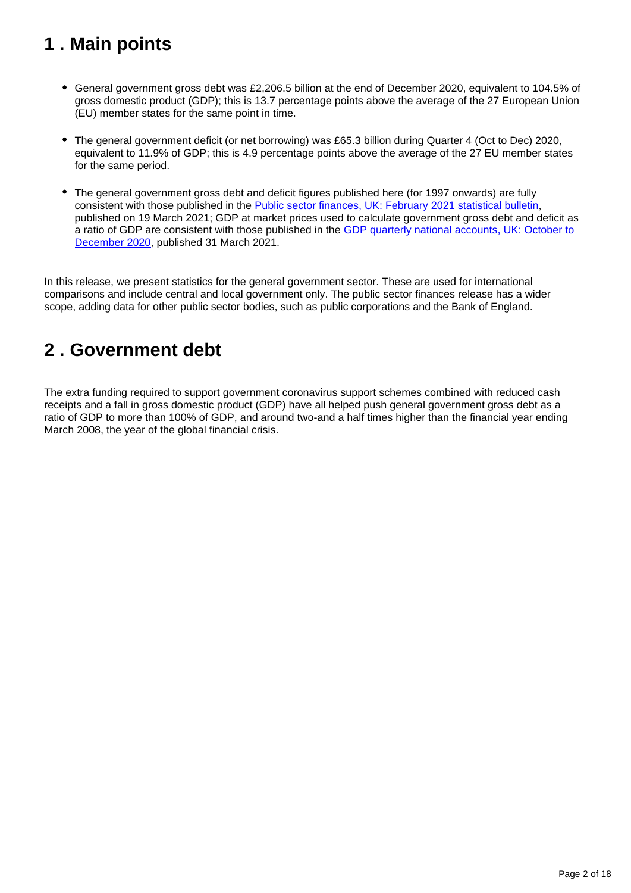# <span id="page-1-0"></span>**1 . Main points**

- General government gross debt was £2,206.5 billion at the end of December 2020, equivalent to 104.5% of gross domestic product (GDP); this is 13.7 percentage points above the average of the 27 European Union (EU) member states for the same point in time.
- The general government deficit (or net borrowing) was £65.3 billion during Quarter 4 (Oct to Dec) 2020, equivalent to 11.9% of GDP; this is 4.9 percentage points above the average of the 27 EU member states for the same period.
- The general government gross debt and deficit figures published here (for 1997 onwards) are fully consistent with those published in the [Public sector finances, UK: February 2021 statistical bulletin](https://www.ons.gov.uk/economy/governmentpublicsectorandtaxes/publicsectorfinance/bulletins/publicsectorfinances/february2021), published on 19 March 2021; GDP at market prices used to calculate government gross debt and deficit as a ratio of GDP are consistent with those published in the [GDP quarterly national accounts, UK: October to](https://www.ons.gov.uk/economy/grossdomesticproductgdp/bulletins/quarterlynationalaccounts/octobertodecember2020)  [December 2020](https://www.ons.gov.uk/economy/grossdomesticproductgdp/bulletins/quarterlynationalaccounts/octobertodecember2020), published 31 March 2021.

In this release, we present statistics for the general government sector. These are used for international comparisons and include central and local government only. The public sector finances release has a wider scope, adding data for other public sector bodies, such as public corporations and the Bank of England.

# <span id="page-1-1"></span>**2 . Government debt**

The extra funding required to support government coronavirus support schemes combined with reduced cash receipts and a fall in gross domestic product (GDP) have all helped push general government gross debt as a ratio of GDP to more than 100% of GDP, and around two-and a half times higher than the financial year ending March 2008, the year of the global financial crisis.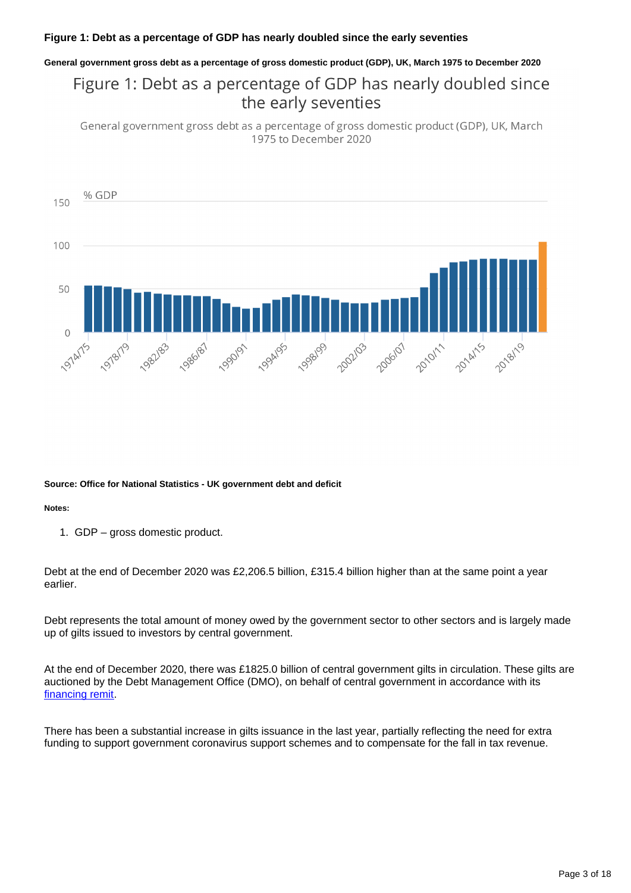#### **Figure 1: Debt as a percentage of GDP has nearly doubled since the early seventies**

#### **General government gross debt as a percentage of gross domestic product (GDP), UK, March 1975 to December 2020**

## Figure 1: Debt as a percentage of GDP has nearly doubled since the early seventies

General government gross debt as a percentage of gross domestic product (GDP), UK, March 1975 to December 2020



#### **Source: Office for National Statistics - UK government debt and deficit**

#### **Notes:**

1. GDP – gross domestic product.

Debt at the end of December 2020 was £2,206.5 billion, £315.4 billion higher than at the same point a year earlier.

Debt represents the total amount of money owed by the government sector to other sectors and is largely made up of gilts issued to investors by central government.

At the end of December 2020, there was £1825.0 billion of central government gilts in circulation. These gilts are auctioned by the Debt Management Office (DMO), on behalf of central government in accordance with its [financing remit.](https://www.dmo.gov.uk/responsibilities/financing-remit/full-details/)

There has been a substantial increase in gilts issuance in the last year, partially reflecting the need for extra funding to support government coronavirus support schemes and to compensate for the fall in tax revenue.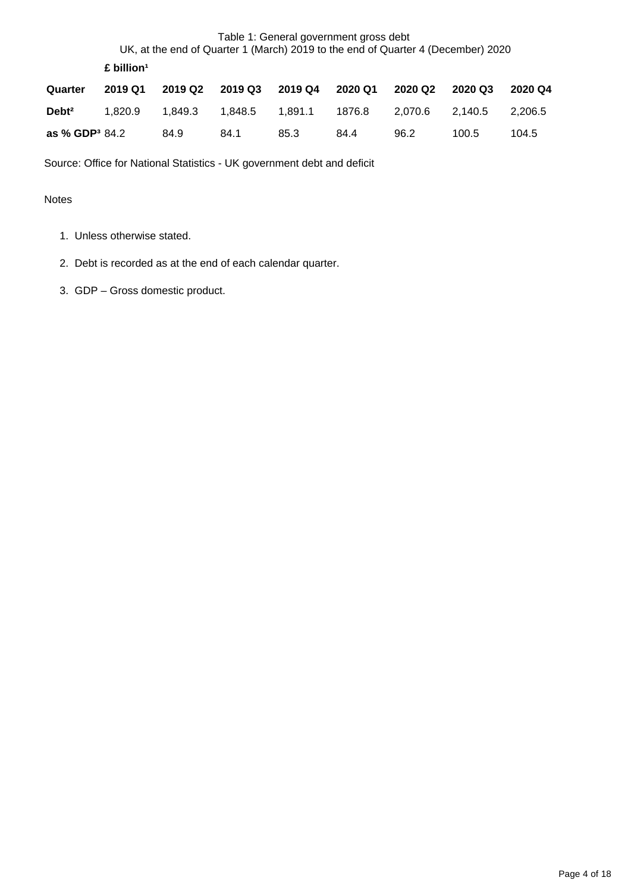## Table 1: General government gross debt UK, at the end of Quarter 1 (March) 2019 to the end of Quarter 4 (December) 2020 £ billion<sup>1</sup> **Quarter 2019 Q1 2019 Q2 2019 Q3 2019 Q4 2020 Q1 2020 Q2 2020 Q3 2020 Q4 Debt²** 1,820.9 1,849.3 1,848.5 1,891.1 1876.8 2,070.6 2,140.5 2,206.5 **as % GDP**<sup>3</sup> 84.2 84.9 84.1 85.3 84.4 96.2 100.5 104.5

Source: Office for National Statistics - UK government debt and deficit

- 1. Unless otherwise stated.
- 2. Debt is recorded as at the end of each calendar quarter.
- 3. GDP Gross domestic product.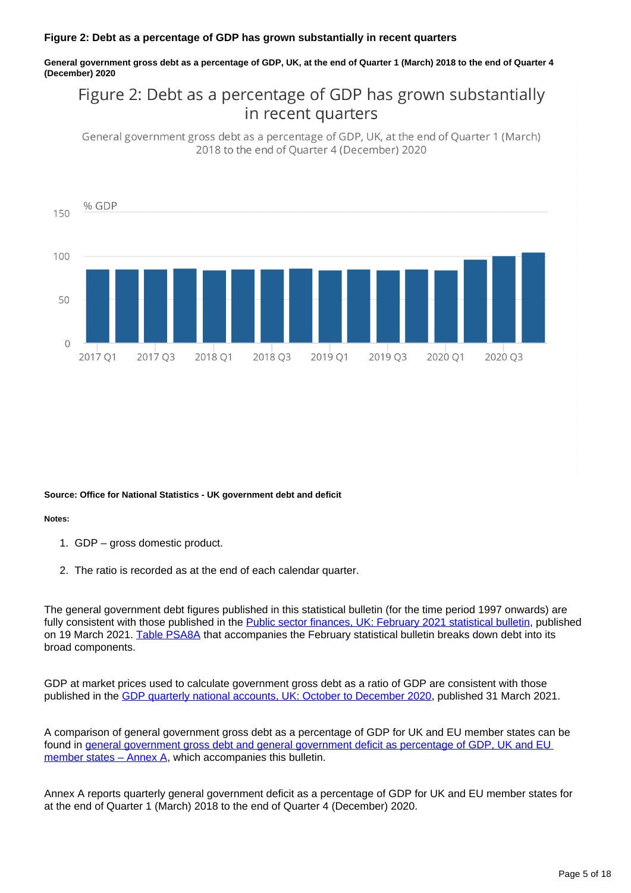#### **Figure 2: Debt as a percentage of GDP has grown substantially in recent quarters**

**General government gross debt as a percentage of GDP, UK, at the end of Quarter 1 (March) 2018 to the end of Quarter 4 (December) 2020**

## Figure 2: Debt as a percentage of GDP has grown substantially in recent quarters

General government gross debt as a percentage of GDP, UK, at the end of Quarter 1 (March) 2018 to the end of Ouarter 4 (December) 2020



#### **Source: Office for National Statistics - UK government debt and deficit**

#### **Notes:**

- 1. GDP gross domestic product.
- 2. The ratio is recorded as at the end of each calendar quarter.

The general government debt figures published in this statistical bulletin (for the time period 1997 onwards) are fully consistent with those published in the [Public sector finances, UK: February 2021 statistical bulletin](https://www.ons.gov.uk/economy/governmentpublicsectorandtaxes/publicsectorfinance/bulletins/publicsectorfinances/february2021), published on 19 March 2021. [Table PSA8A](https://www.ons.gov.uk/economy/governmentpublicsectorandtaxes/publicsectorfinance/datasets/publicsectorfinancesappendixatables110/current) that accompanies the February statistical bulletin breaks down debt into its broad components.

GDP at market prices used to calculate government gross debt as a ratio of GDP are consistent with those published in the [GDP quarterly national accounts, UK: October to December 2020](https://www.ons.gov.uk/economy/grossdomesticproductgdp/bulletins/quarterlynationalaccounts/octobertodecember2020), published 31 March 2021.

A comparison of general government gross debt as a percentage of GDP for UK and EU member states can be found in [general government gross debt and general government deficit as percentage of GDP, UK and EU](https://www.ons.gov.uk/economy/governmentpublicsectorandtaxes/publicsectorfinance/datasets/generalgovernmentgrossdebtandgeneralgovernmentdeficitaspercentageofgdpukandeumemberstatesannexa)  [member states – Annex A,](https://www.ons.gov.uk/economy/governmentpublicsectorandtaxes/publicsectorfinance/datasets/generalgovernmentgrossdebtandgeneralgovernmentdeficitaspercentageofgdpukandeumemberstatesannexa) which accompanies this bulletin.

Annex A reports quarterly general government deficit as a percentage of GDP for UK and EU member states for at the end of Quarter 1 (March) 2018 to the end of Quarter 4 (December) 2020.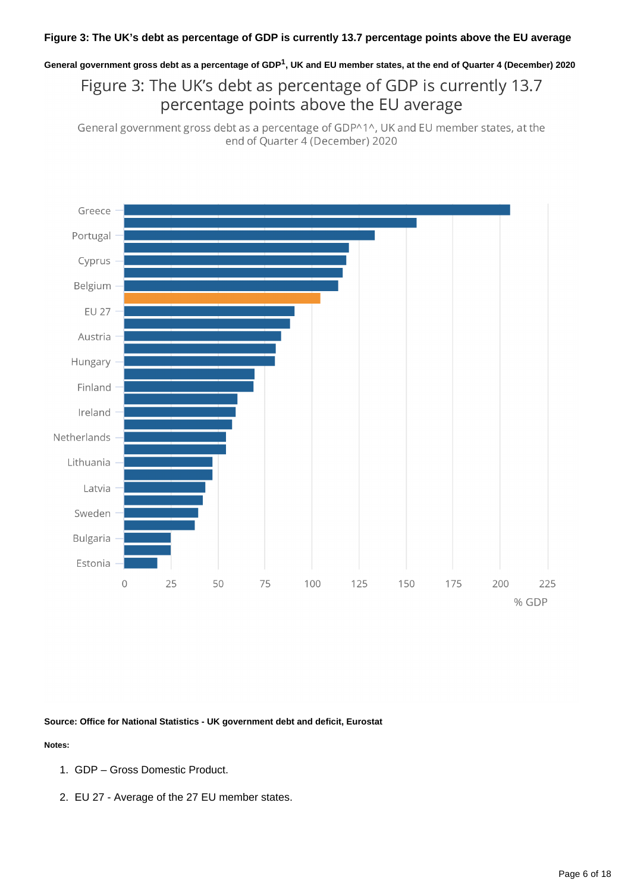General government gross debt as a percentage of GDP<sup>1</sup>, UK and EU member states, at the end of Quarter 4 (December) 2020

## Figure 3: The UK's debt as percentage of GDP is currently 13.7 percentage points above the EU average

General government gross debt as a percentage of GDP^1^, UK and EU member states, at the end of Quarter 4 (December) 2020



**Source: Office for National Statistics - UK government debt and deficit, Eurostat**

- 1. GDP Gross Domestic Product.
- 2. EU 27 Average of the 27 EU member states.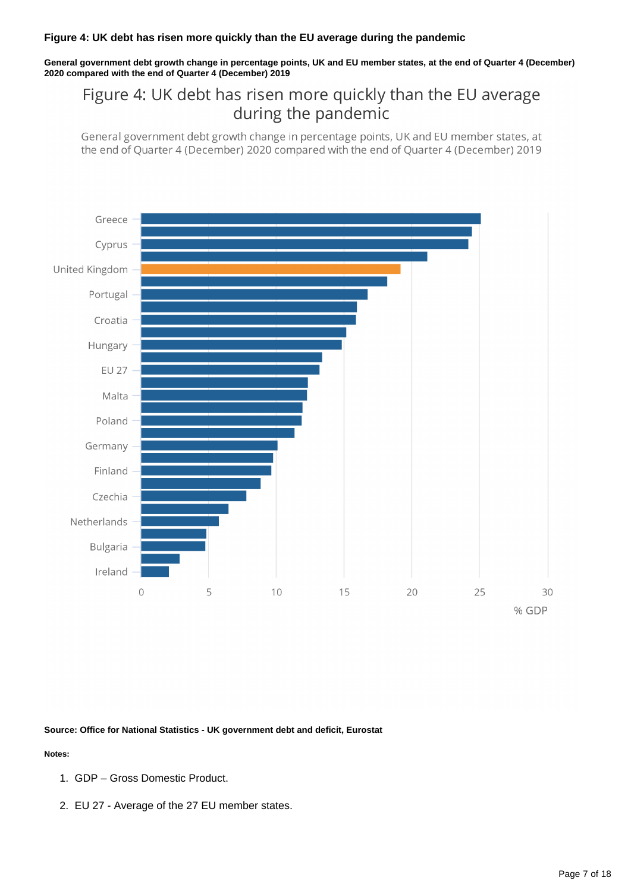#### **Figure 4: UK debt has risen more quickly than the EU average during the pandemic**

**General government debt growth change in percentage points, UK and EU member states, at the end of Quarter 4 (December) 2020 compared with the end of Quarter 4 (December) 2019**

## Figure 4: UK debt has risen more quickly than the EU average during the pandemic

General government debt growth change in percentage points, UK and EU member states, at the end of Quarter 4 (December) 2020 compared with the end of Quarter 4 (December) 2019



**Source: Office for National Statistics - UK government debt and deficit, Eurostat**

- 1. GDP Gross Domestic Product.
- 2. EU 27 Average of the 27 EU member states.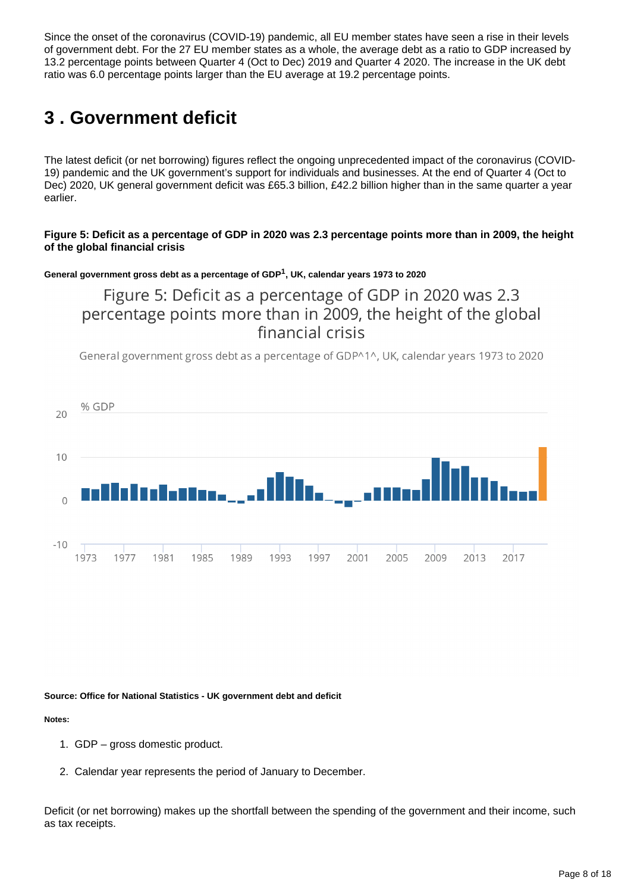Since the onset of the coronavirus (COVID-19) pandemic, all EU member states have seen a rise in their levels of government debt. For the 27 EU member states as a whole, the average debt as a ratio to GDP increased by 13.2 percentage points between Quarter 4 (Oct to Dec) 2019 and Quarter 4 2020. The increase in the UK debt ratio was 6.0 percentage points larger than the EU average at 19.2 percentage points.

# <span id="page-7-0"></span>**3 . Government deficit**

The latest deficit (or net borrowing) figures reflect the ongoing unprecedented impact of the coronavirus (COVID-19) pandemic and the UK government's support for individuals and businesses. At the end of Quarter 4 (Oct to Dec) 2020, UK general government deficit was £65.3 billion, £42.2 billion higher than in the same quarter a year earlier.

#### **Figure 5: Deficit as a percentage of GDP in 2020 was 2.3 percentage points more than in 2009, the height of the global financial crisis**

#### **General government gross debt as a percentage of GDP , UK, calendar years 1973 to 2020 <sup>1</sup>**

Figure 5: Deficit as a percentage of GDP in 2020 was 2.3 percentage points more than in 2009, the height of the global financial crisis

General government gross debt as a percentage of GDP^1^, UK, calendar years 1973 to 2020



**Source: Office for National Statistics - UK government debt and deficit**

#### **Notes:**

- 1. GDP gross domestic product.
- 2. Calendar year represents the period of January to December.

Deficit (or net borrowing) makes up the shortfall between the spending of the government and their income, such as tax receipts.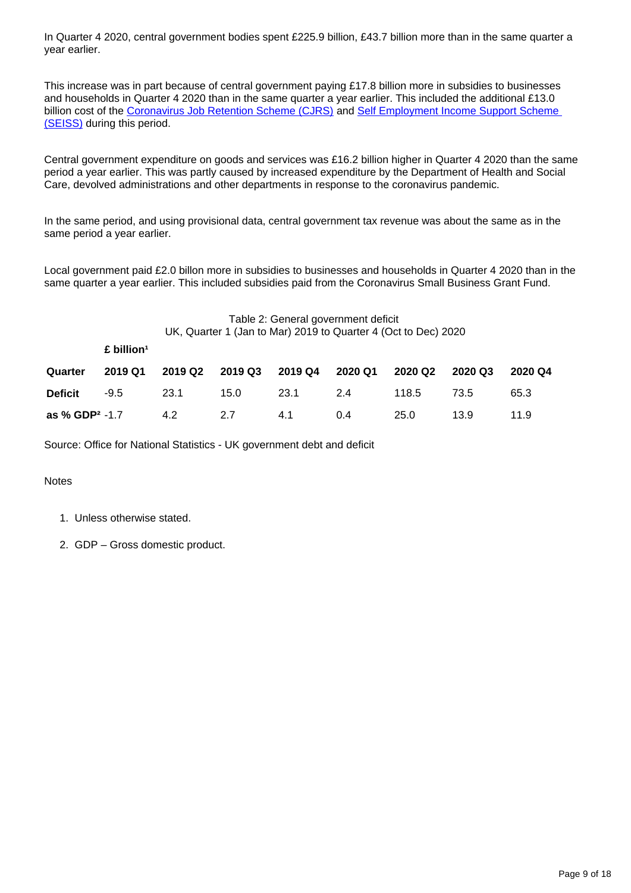In Quarter 4 2020, central government bodies spent £225.9 billion, £43.7 billion more than in the same quarter a year earlier.

This increase was in part because of central government paying £17.8 billion more in subsidies to businesses and households in Quarter 4 2020 than in the same quarter a year earlier. This included the additional £13.0 billion cost of the [Coronavirus Job Retention Scheme \(CJRS\)](https://www.gov.uk/guidance/claim-for-wages-through-the-coronavirus-job-retention-scheme) and [Self Employment Income Support Scheme](https://www.gov.uk/government/news/applications-for-self-employment-income-support-scheme-open-early)  [\(SEISS\)](https://www.gov.uk/government/news/applications-for-self-employment-income-support-scheme-open-early) during this period.

Central government expenditure on goods and services was £16.2 billion higher in Quarter 4 2020 than the same period a year earlier. This was partly caused by increased expenditure by the Department of Health and Social Care, devolved administrations and other departments in response to the coronavirus pandemic.

In the same period, and using provisional data, central government tax revenue was about the same as in the same period a year earlier.

Local government paid £2.0 billon more in subsidies to businesses and households in Quarter 4 2020 than in the same quarter a year earlier. This included subsidies paid from the Coronavirus Small Business Grant Fund.

#### Table 2: General government deficit UK, Quarter 1 (Jan to Mar) 2019 to Quarter 4 (Oct to Dec) 2020

|                            | $£$ billion <sup>1</sup> |      |                                                               |               |     |       |      |         |
|----------------------------|--------------------------|------|---------------------------------------------------------------|---------------|-----|-------|------|---------|
| Quarter                    |                          |      | 2019 Q1  2019 Q2  2019 Q3  2019 Q4  2020 Q1  2020 Q2  2020 Q3 |               |     |       |      | 2020 Q4 |
| <b>Deficit</b>             | $-9.5$                   | 23.1 |                                                               | 15.0 23.1 2.4 |     | 118.5 | 73.5 | 65.3    |
| as % GDP <sup>2</sup> -1.7 |                          | 4.2  | 2.7                                                           | 4.1           | 0.4 | 25.0  | 13.9 | 11.9    |

Source: Office for National Statistics - UK government debt and deficit

- 1. Unless otherwise stated.
- 2. GDP Gross domestic product.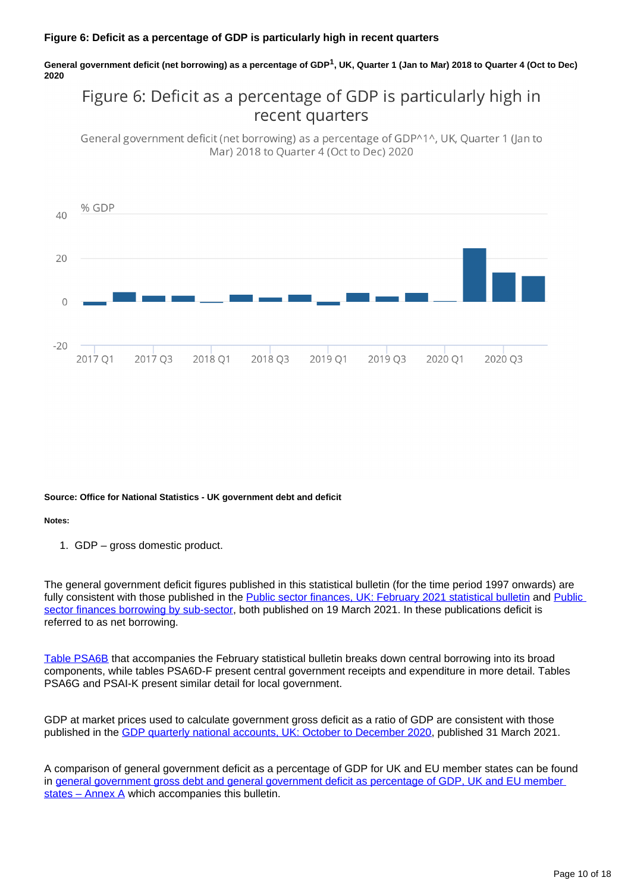#### **Figure 6: Deficit as a percentage of GDP is particularly high in recent quarters**

**General government deficit (net borrowing) as a percentage of GDP , UK, Quarter 1 (Jan to Mar) 2018 to Quarter 4 (Oct to Dec) <sup>1</sup> 2020**

## Figure 6: Deficit as a percentage of GDP is particularly high in recent quarters

General government deficit (net borrowing) as a percentage of GDP^1^, UK, Quarter 1 (Jan to Mar) 2018 to Quarter 4 (Oct to Dec) 2020



**Source: Office for National Statistics - UK government debt and deficit**

**Notes:**

1. GDP – gross domestic product.

The general government deficit figures published in this statistical bulletin (for the time period 1997 onwards) are fully consistent with those published in the **[Public](https://www.ons.gov.uk/economy/governmentpublicsectorandtaxes/publicsectorfinance/datasets/publicsectorfinancesborrowingbysubsector/current) sector finances**, UK: February 2021 statistical bulletin and Public [sector finances borrowing by sub-sector](https://www.ons.gov.uk/economy/governmentpublicsectorandtaxes/publicsectorfinance/datasets/publicsectorfinancesborrowingbysubsector/current), both published on 19 March 2021. In these publications deficit is referred to as net borrowing.

[Table PSA6B](https://www.ons.gov.uk/economy/governmentpublicsectorandtaxes/publicsectorfinance/datasets/publicsectorfinancesappendixatables110/current) that accompanies the February statistical bulletin breaks down central borrowing into its broad components, while tables PSA6D-F present central government receipts and expenditure in more detail. Tables PSA6G and PSAI-K present similar detail for local government.

GDP at market prices used to calculate government gross deficit as a ratio of GDP are consistent with those published in the [GDP quarterly national accounts, UK: October to December 2020](https://www.ons.gov.uk/economy/grossdomesticproductgdp/bulletins/quarterlynationalaccounts/octobertodecember2020), published 31 March 2021.

A comparison of general government deficit as a percentage of GDP for UK and EU member states can be found in general government gross debt and general government deficit as percentage of GDP, UK and EU member states – Annex  $\overline{A}$  which accompanies this bulletin.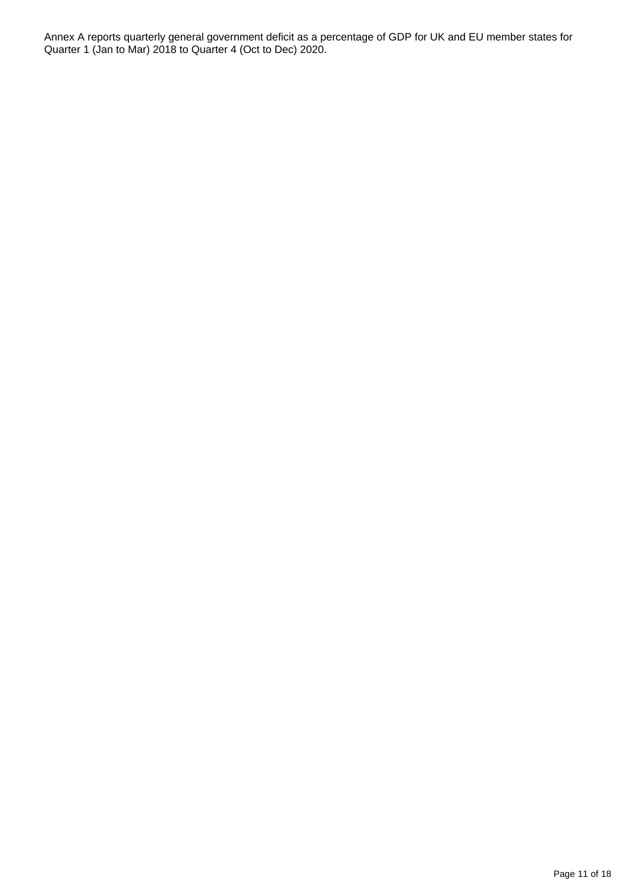Annex A reports quarterly general government deficit as a percentage of GDP for UK and EU member states for Quarter 1 (Jan to Mar) 2018 to Quarter 4 (Oct to Dec) 2020.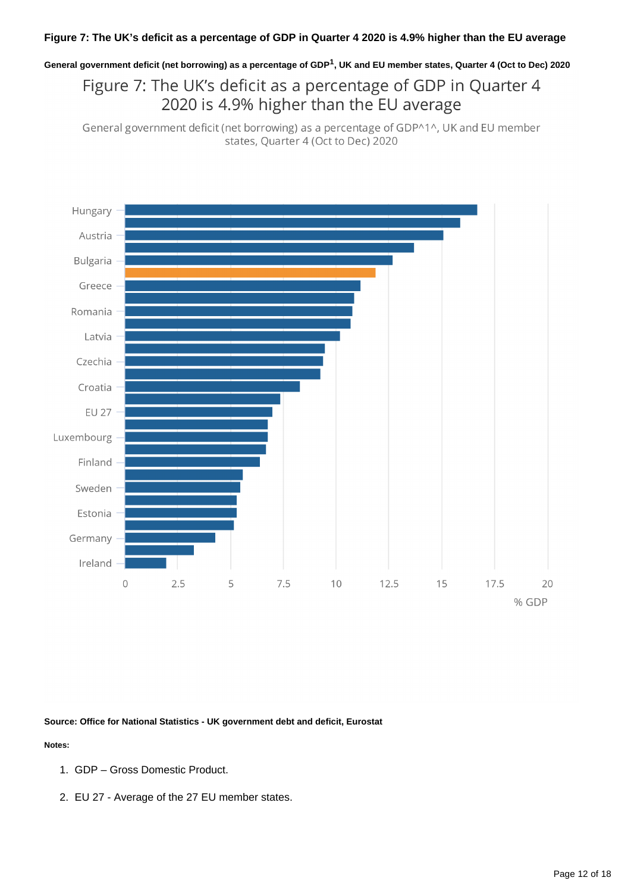General government deficit (net borrowing) as a percentage of GDP<sup>1</sup>, UK and EU member states, Quarter 4 (Oct to Dec) 2020

### Figure 7: The UK's deficit as a percentage of GDP in Quarter 4 2020 is 4.9% higher than the EU average

General government deficit (net borrowing) as a percentage of GDP^1^, UK and EU member states, Quarter 4 (Oct to Dec) 2020



**Source: Office for National Statistics - UK government debt and deficit, Eurostat**

- 1. GDP Gross Domestic Product.
- 2. EU 27 Average of the 27 EU member states.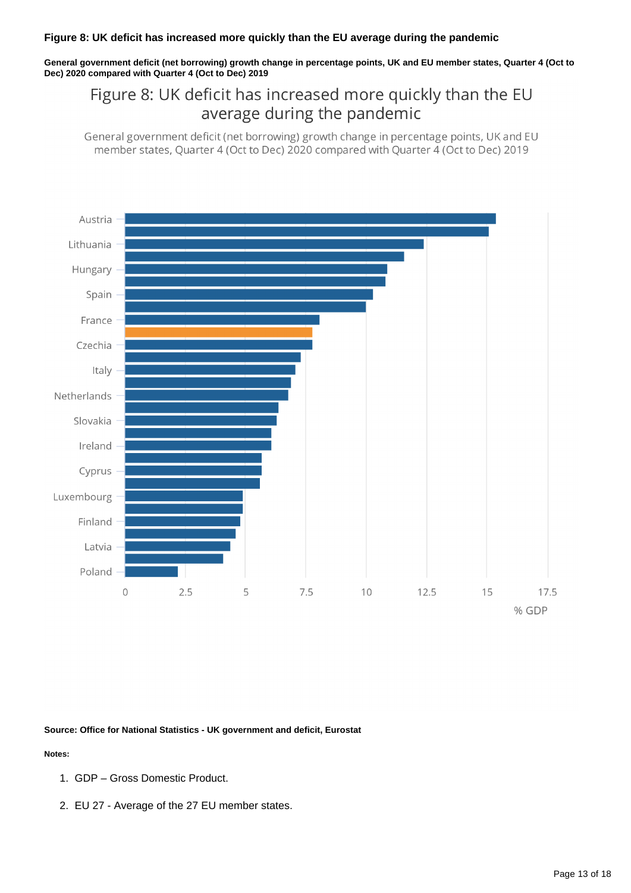#### **Figure 8: UK deficit has increased more quickly than the EU average during the pandemic**

**General government deficit (net borrowing) growth change in percentage points, UK and EU member states, Quarter 4 (Oct to Dec) 2020 compared with Quarter 4 (Oct to Dec) 2019**

## Figure 8: UK deficit has increased more quickly than the EU average during the pandemic

General government deficit (net borrowing) growth change in percentage points, UK and EU member states, Quarter 4 (Oct to Dec) 2020 compared with Quarter 4 (Oct to Dec) 2019



**Source: Office for National Statistics - UK government and deficit, Eurostat**

- 1. GDP Gross Domestic Product.
- 2. EU 27 Average of the 27 EU member states.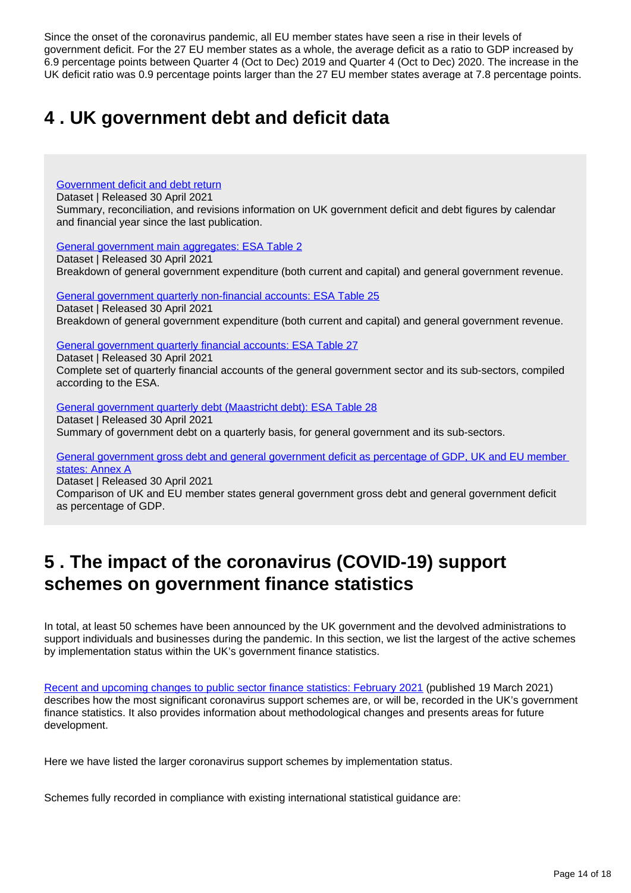Since the onset of the coronavirus pandemic, all EU member states have seen a rise in their levels of government deficit. For the 27 EU member states as a whole, the average deficit as a ratio to GDP increased by 6.9 percentage points between Quarter 4 (Oct to Dec) 2019 and Quarter 4 (Oct to Dec) 2020. The increase in the UK deficit ratio was 0.9 percentage points larger than the 27 EU member states average at 7.8 percentage points.

# <span id="page-13-0"></span>**4 . UK government debt and deficit data**

#### [Government deficit and debt return](https://www.ons.gov.uk/economy/governmentpublicsectorandtaxes/publicsectorfinance/datasets/governmentdeficitanddebtreturn)

Dataset | Released 30 April 2021

Summary, reconciliation, and revisions information on UK government deficit and debt figures by calendar and financial year since the last publication.

[General government main aggregates: ESA Table 2](https://www.ons.gov.uk/economy/governmentpublicsectorandtaxes/publicspending/datasets/esatable2mainaggregatesofgeneralgovernment)

Dataset | Released 30 April 2021 Breakdown of general government expenditure (both current and capital) and general government revenue.

[General government quarterly non-financial accounts: ESA Table 25](https://www.ons.gov.uk/economy/governmentpublicsectorandtaxes/publicspending/datasets/esatable25quarterlynonfinancialaccountsofgeneralgovernment) Dataset | Released 30 April 2021

Breakdown of general government expenditure (both current and capital) and general government revenue.

[General government quarterly financial accounts: ESA Table 27](https://www.ons.gov.uk/economy/governmentpublicsectorandtaxes/publicspending/datasets/esatable27quarterlyfinancialaccountsofgeneralgovernment)

Dataset | Released 30 April 2021 Complete set of quarterly financial accounts of the general government sector and its sub-sectors, compiled according to the ESA.

[General government quarterly debt \(Maastricht debt\): ESA Table 28](https://www.ons.gov.uk/economy/governmentpublicsectorandtaxes/publicspending/datasets/esatable28quarterlygovernmentdebtmaastrichtdebtforgeneralgovernment)

Dataset | Released 30 April 2021

Summary of government debt on a quarterly basis, for general government and its sub-sectors.

[General government gross debt and general government deficit as percentage of GDP, UK and EU member](https://www.ons.gov.uk/economy/governmentpublicsectorandtaxes/publicsectorfinance/datasets/generalgovernmentgrossdebtandgeneralgovernmentdeficitaspercentageofgdpukandeumemberstatesannexa)  [states: Annex A](https://www.ons.gov.uk/economy/governmentpublicsectorandtaxes/publicsectorfinance/datasets/generalgovernmentgrossdebtandgeneralgovernmentdeficitaspercentageofgdpukandeumemberstatesannexa)

Dataset | Released 30 April 2021

Comparison of UK and EU member states general government gross debt and general government deficit as percentage of GDP.

## <span id="page-13-1"></span>**5 . The impact of the coronavirus (COVID-19) support schemes on government finance statistics**

In total, at least 50 schemes have been announced by the UK government and the devolved administrations to support individuals and businesses during the pandemic. In this section, we list the largest of the active schemes by implementation status within the UK's government finance statistics.

[Recent and upcoming changes to public sector finance statistics: February 2021](https://www.ons.gov.uk/economy/governmentpublicsectorandtaxes/publicsectorfinance/articles/developmentofpublicsectorfinancestatistics/february2021) (published 19 March 2021) describes how the most significant coronavirus support schemes are, or will be, recorded in the UK's government finance statistics. It also provides information about methodological changes and presents areas for future development.

Here we have listed the larger coronavirus support schemes by implementation status.

Schemes fully recorded in compliance with existing international statistical guidance are: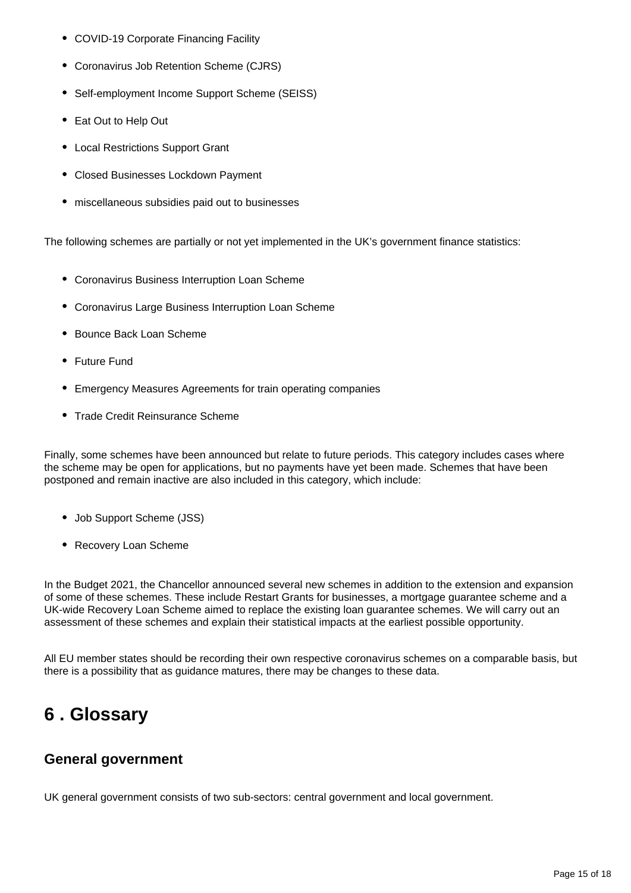- COVID-19 Corporate Financing Facility
- Coronavirus Job Retention Scheme (CJRS)
- Self-employment Income Support Scheme (SEISS)
- Eat Out to Help Out
- Local Restrictions Support Grant
- Closed Businesses Lockdown Payment
- miscellaneous subsidies paid out to businesses

The following schemes are partially or not yet implemented in the UK's government finance statistics:

- Coronavirus Business Interruption Loan Scheme
- Coronavirus Large Business Interruption Loan Scheme
- Bounce Back Loan Scheme
- **•** Future Fund
- Emergency Measures Agreements for train operating companies
- Trade Credit Reinsurance Scheme

Finally, some schemes have been announced but relate to future periods. This category includes cases where the scheme may be open for applications, but no payments have yet been made. Schemes that have been postponed and remain inactive are also included in this category, which include:

- Job Support Scheme (JSS)
- Recovery Loan Scheme

In the Budget 2021, the Chancellor announced several new schemes in addition to the extension and expansion of some of these schemes. These include Restart Grants for businesses, a mortgage guarantee scheme and a UK-wide Recovery Loan Scheme aimed to replace the existing loan guarantee schemes. We will carry out an assessment of these schemes and explain their statistical impacts at the earliest possible opportunity.

All EU member states should be recording their own respective coronavirus schemes on a comparable basis, but there is a possibility that as guidance matures, there may be changes to these data.

## <span id="page-14-0"></span>**6 . Glossary**

### **General government**

UK general government consists of two sub-sectors: central government and local government.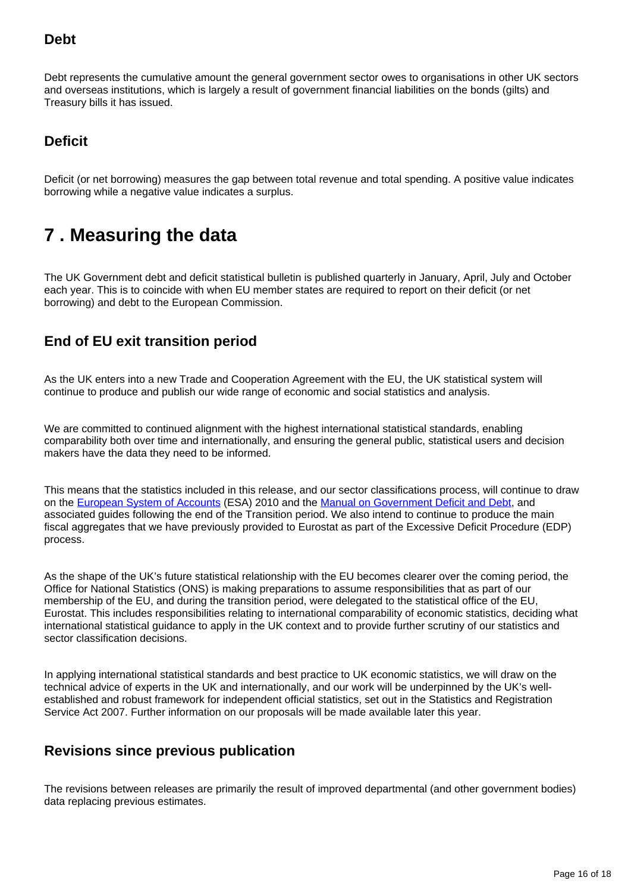### **Debt**

Debt represents the cumulative amount the general government sector owes to organisations in other UK sectors and overseas institutions, which is largely a result of government financial liabilities on the bonds (gilts) and Treasury bills it has issued.

### **Deficit**

Deficit (or net borrowing) measures the gap between total revenue and total spending. A positive value indicates borrowing while a negative value indicates a surplus.

## <span id="page-15-0"></span>**7 . Measuring the data**

The UK Government debt and deficit statistical bulletin is published quarterly in January, April, July and October each year. This is to coincide with when EU member states are required to report on their deficit (or net borrowing) and debt to the European Commission.

### **End of EU exit transition period**

As the UK enters into a new Trade and Cooperation Agreement with the EU, the UK statistical system will continue to produce and publish our wide range of economic and social statistics and analysis.

We are committed to continued alignment with the highest international statistical standards, enabling comparability both over time and internationally, and ensuring the general public, statistical users and decision makers have the data they need to be informed.

This means that the statistics included in this release, and our sector classifications process, will continue to draw on the [European System of Accounts](https://ec.europa.eu/eurostat/documents/3859598/5925693/KS-02-13-269-EN.PDF/44cd9d01-bc64-40e5-bd40-d17df0c69334) (ESA) 2010 and the [Manual on Government Deficit and Debt,](https://ec.europa.eu/eurostat/documents/3859598/10042108/KS-GQ-19-007-EN-N.pdf/5d6fc8f4-58e3-4354-acd3-a29a66f2e00c) and associated guides following the end of the Transition period. We also intend to continue to produce the main fiscal aggregates that we have previously provided to Eurostat as part of the Excessive Deficit Procedure (EDP) process.

As the shape of the UK's future statistical relationship with the EU becomes clearer over the coming period, the Office for National Statistics (ONS) is making preparations to assume responsibilities that as part of our membership of the EU, and during the transition period, were delegated to the statistical office of the EU, Eurostat. This includes responsibilities relating to international comparability of economic statistics, deciding what international statistical guidance to apply in the UK context and to provide further scrutiny of our statistics and sector classification decisions.

In applying international statistical standards and best practice to UK economic statistics, we will draw on the technical advice of experts in the UK and internationally, and our work will be underpinned by the UK's wellestablished and robust framework for independent official statistics, set out in the Statistics and Registration Service Act 2007. Further information on our proposals will be made available later this year.

### **Revisions since previous publication**

The revisions between releases are primarily the result of improved departmental (and other government bodies) data replacing previous estimates.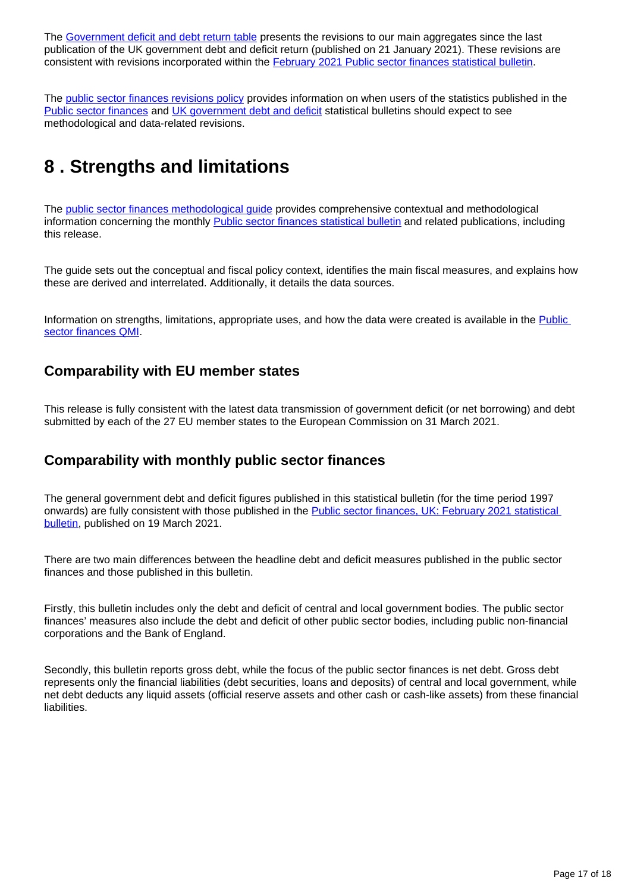The [Government deficit and debt return table](https://www.ons.gov.uk/economy/governmentpublicsectorandtaxes/publicsectorfinance/datasets/governmentdeficitanddebtreturn) presents the revisions to our main aggregates since the last publication of the UK government debt and deficit return (published on 21 January 2021). These revisions are consistent with revisions incorporated within the [February 2021 Public sector finances statistical bulletin](https://www.ons.gov.uk/economy/governmentpublicsectorandtaxes/publicsectorfinance/bulletins/publicsectorfinances/february2021).

The [public sector finances revisions policy](http://www.ons.gov.uk/methodology/methodologytopicsandstatisticalconcepts/revisions/revisionspoliciesforeconomicstatistics) provides information on when users of the statistics published in the [Public sector finances](https://www.ons.gov.uk/economy/governmentpublicsectorandtaxes/publicsectorfinance/bulletins/publicsectorfinances/previousReleases) and [UK government debt and deficit](https://www.ons.gov.uk/economy/governmentpublicsectorandtaxes/publicspending/bulletins/ukgovernmentdebtanddeficitforeurostatmaast/previousReleases) statistical bulletins should expect to see methodological and data-related revisions.

# <span id="page-16-0"></span>**8 . Strengths and limitations**

The **[public sector finances methodological guide](https://www.ons.gov.uk/economy/governmentpublicsectorandtaxes/publicsectorfinance/methodologies/monthlystatisticsonthepublicsectorfinancesamethodologicalguide)** provides comprehensive contextual and methodological information concerning the monthly [Public sector finances statistical bulletin](https://www.ons.gov.uk/economy/governmentpublicsectorandtaxes/publicsectorfinance/bulletins/publicsectorfinances/previousReleases) and related publications, including this release.

The guide sets out the conceptual and fiscal policy context, identifies the main fiscal measures, and explains how these are derived and interrelated. Additionally, it details the data sources.

Information on strengths, limitations, appropriate uses, and how the data were created is available in the Public [sector finances QMI.](https://www.ons.gov.uk/economy/governmentpublicsectorandtaxes/publicsectorfinance/qmis/publicsectorfinancesandgovernmentdeficitanddebtunderthemaastrichttreatyqmi)

### **Comparability with EU member states**

This release is fully consistent with the latest data transmission of government deficit (or net borrowing) and debt submitted by each of the 27 EU member states to the European Commission on 31 March 2021.

### **Comparability with monthly public sector finances**

The general government debt and deficit figures published in this statistical bulletin (for the time period 1997 onwards) are fully consistent with those published in the [Public sector finances, UK: February 2021 statistical](https://www.ons.gov.uk/economy/governmentpublicsectorandtaxes/publicsectorfinance/bulletins/publicsectorfinances/february2021)  [bulletin,](https://www.ons.gov.uk/economy/governmentpublicsectorandtaxes/publicsectorfinance/bulletins/publicsectorfinances/february2021) published on 19 March 2021.

There are two main differences between the headline debt and deficit measures published in the public sector finances and those published in this bulletin.

Firstly, this bulletin includes only the debt and deficit of central and local government bodies. The public sector finances' measures also include the debt and deficit of other public sector bodies, including public non-financial corporations and the Bank of England.

Secondly, this bulletin reports gross debt, while the focus of the public sector finances is net debt. Gross debt represents only the financial liabilities (debt securities, loans and deposits) of central and local government, while net debt deducts any liquid assets (official reserve assets and other cash or cash-like assets) from these financial liabilities.